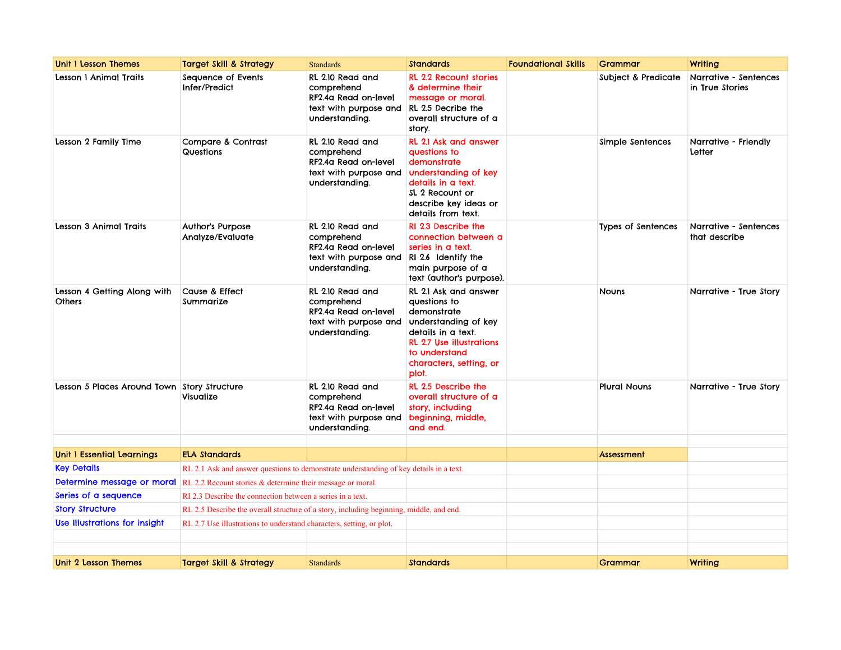| <b>Unit I Lesson Themes</b>                  | <b>Target Skill &amp; Strategy</b>                                                           | <b>Standards</b>                                                                                  | <b>Standards</b>                                                                                                                                                                           | <b>Foundational Skills</b> | Grammar                   | Writing                                  |
|----------------------------------------------|----------------------------------------------------------------------------------------------|---------------------------------------------------------------------------------------------------|--------------------------------------------------------------------------------------------------------------------------------------------------------------------------------------------|----------------------------|---------------------------|------------------------------------------|
| Lesson 1 Animal Traits                       | Sequence of Events<br>Infer/Predict                                                          | RL 2.10 Read and<br>comprehend<br>RF2.4a Read on-level<br>text with purpose and<br>understanding. | <b>RL 2.2 Recount stories</b><br>& determine their<br>message or moral.<br>RL 2.5 Decribe the<br>overall structure of a<br>story.                                                          |                            | Subject & Predicate       | Narrative - Sentences<br>in True Stories |
| Lesson 2 Family Time                         | Compare & Contrast<br>Questions                                                              | RL 2.10 Read and<br>comprehend<br>RF2.4a Read on-level<br>text with purpose and<br>understanding. | RL 2.1 Ask and answer<br>questions to<br>demonstrate<br>understanding of key<br>details in a text.<br>SL 2 Recount or<br>describe key ideas or<br>details from text.                       |                            | Simple Sentences          | Narrative - Friendly<br>Letter           |
| Lesson 3 Animal Traits                       | <b>Author's Purpose</b><br>Analyze/Evaluate                                                  | RL 2.10 Read and<br>comprehend<br>RF2.4a Read on-level<br>text with purpose and<br>understanding. | RI 2.3 Describe the<br>connection between a<br>series in a text.<br>RI 2.6 Identify the<br>main purpose of a<br>text (author's purpose).                                                   |                            | <b>Types of Sentences</b> | Narrative - Sentences<br>that describe   |
| Lesson 4 Getting Along with<br><b>Others</b> | Cause & Effect<br>Summarize                                                                  | RL 2.10 Read and<br>comprehend<br>RF2.4a Read on-level<br>text with purpose and<br>understanding. | RL 2.1 Ask and answer<br>questions to<br>demonstrate<br>understanding of key<br>details in a text.<br><b>RL 2.7 Use illustrations</b><br>to understand<br>characters, setting, or<br>plot. |                            | <b>Nouns</b>              | Narrative - True Story                   |
| Lesson 5 Places Around Town Story Structure  | Visualize                                                                                    | RL 2.10 Read and<br>comprehend<br>RF2.4a Read on-level<br>text with purpose and<br>understanding. | RL 2.5 Describe the<br>overall structure of a<br>story, including<br>beginning, middle,<br>and end.                                                                                        |                            | <b>Plural Nouns</b>       | Narrative - True Story                   |
|                                              |                                                                                              |                                                                                                   |                                                                                                                                                                                            |                            |                           |                                          |
| <b>Unit I Essential Learnings</b>            | <b>ELA Standards</b>                                                                         |                                                                                                   |                                                                                                                                                                                            |                            | Assessment                |                                          |
| <b>Key Details</b>                           | RL 2.1 Ask and answer questions to demonstrate understanding of key details in a text.       |                                                                                                   |                                                                                                                                                                                            |                            |                           |                                          |
|                                              | <b>Determine message or moral</b> RL 2.2 Recount stories & determine their message or moral. |                                                                                                   |                                                                                                                                                                                            |                            |                           |                                          |
| Series of a sequence                         | RI 2.3 Describe the connection between a series in a text.                                   |                                                                                                   |                                                                                                                                                                                            |                            |                           |                                          |
| <b>Story Structure</b>                       | RL 2.5 Describe the overall structure of a story, including beginning, middle, and end.      |                                                                                                   |                                                                                                                                                                                            |                            |                           |                                          |
| Use Illustrations for insight                | RL 2.7 Use illustrations to understand characters, setting, or plot.                         |                                                                                                   |                                                                                                                                                                                            |                            |                           |                                          |
|                                              |                                                                                              |                                                                                                   |                                                                                                                                                                                            |                            |                           |                                          |
|                                              |                                                                                              |                                                                                                   |                                                                                                                                                                                            |                            |                           |                                          |
| Unit 2 Lesson Themes                         | <b>Target Skill &amp; Strategy</b>                                                           | <b>Standards</b>                                                                                  | <b>Standards</b>                                                                                                                                                                           |                            | Grammar                   | Writing                                  |